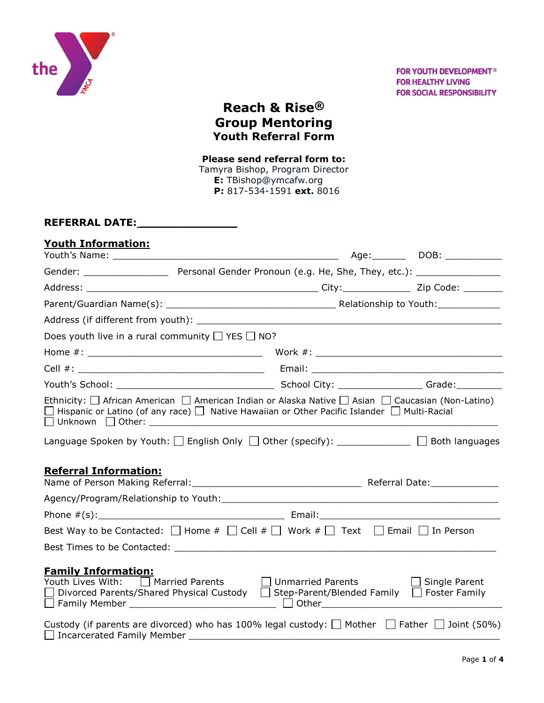

## **Reach & Rise® Group Mentoring Youth Referral Form**

## **Please send referral form to:**

Tamyra Bishop, Program Director  **E:** TBishop@ymcafw.org  **P:** 817-534-1591 **ext.** 8016

## **REFERRAL DATE: \_\_\_\_\_\_\_\_\_\_\_\_\_\_**

| <b>Youth Information:</b>                                                                                                                                                                                                                                                                                                               |                                                                                                            |  |                      |
|-----------------------------------------------------------------------------------------------------------------------------------------------------------------------------------------------------------------------------------------------------------------------------------------------------------------------------------------|------------------------------------------------------------------------------------------------------------|--|----------------------|
|                                                                                                                                                                                                                                                                                                                                         |                                                                                                            |  | Age: DOB: _______    |
|                                                                                                                                                                                                                                                                                                                                         |                                                                                                            |  |                      |
|                                                                                                                                                                                                                                                                                                                                         |                                                                                                            |  |                      |
|                                                                                                                                                                                                                                                                                                                                         |                                                                                                            |  |                      |
|                                                                                                                                                                                                                                                                                                                                         |                                                                                                            |  |                      |
| Does youth live in a rural community $\Box$ YES $\Box$ NO?                                                                                                                                                                                                                                                                              |                                                                                                            |  |                      |
|                                                                                                                                                                                                                                                                                                                                         |                                                                                                            |  |                      |
|                                                                                                                                                                                                                                                                                                                                         |                                                                                                            |  |                      |
|                                                                                                                                                                                                                                                                                                                                         |                                                                                                            |  |                      |
| Ethnicity: $\Box$ African American $\Box$ American Indian or Alaska Native $\Box$ Asian $\Box$ Caucasian (Non-Latino)<br>$\Box$ Hispanic or Latino (of any race) $\Box$ Native Hawaiian or Other Pacific Islander $\Box$ Multi-Racial<br>Language Spoken by Youth: $\Box$ English Only $\Box$ Other (specify): $\Box$<br>Both languages |                                                                                                            |  |                      |
| <b>Referral Information:</b>                                                                                                                                                                                                                                                                                                            |                                                                                                            |  |                      |
|                                                                                                                                                                                                                                                                                                                                         |                                                                                                            |  |                      |
|                                                                                                                                                                                                                                                                                                                                         |                                                                                                            |  |                      |
| Best Way to be Contacted: $\Box$ Home # $\Box$ Cell # $\Box$ Work # $\Box$ Text $\Box$ Email $\Box$ In Person                                                                                                                                                                                                                           |                                                                                                            |  |                      |
| Best Times to be Contacted: North and September 2014 and September 2014 and September 2014 and September 2014                                                                                                                                                                                                                           |                                                                                                            |  |                      |
| <b>Family Information:</b><br>Youth Lives With: □ Married Parents                                                                                                                                                                                                                                                                       | Unmarried Parents<br>Divorced Parents/Shared Physical Custody □ Step-Parent/Blended Family □ Foster Family |  | $\Box$ Single Parent |
| Custody (if parents are divorced) who has 100% legal custody: $\Box$ Mother $\Box$ Father $\Box$ Joint (50%)<br>Incarcerated Family Member                                                                                                                                                                                              |                                                                                                            |  |                      |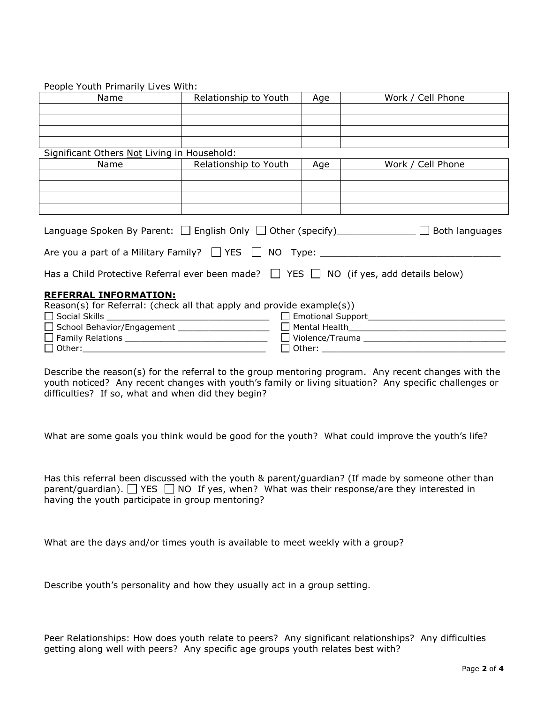| reopie Touth Filliantly Lives With.                                                              |                                        |     |                   |  |
|--------------------------------------------------------------------------------------------------|----------------------------------------|-----|-------------------|--|
| Name                                                                                             | Relationship to Youth                  | Age | Work / Cell Phone |  |
|                                                                                                  |                                        |     |                   |  |
|                                                                                                  |                                        |     |                   |  |
|                                                                                                  |                                        |     |                   |  |
|                                                                                                  |                                        |     |                   |  |
|                                                                                                  |                                        |     |                   |  |
| Significant Others Not Living in Household:                                                      |                                        |     |                   |  |
| Name                                                                                             | <b>Example 1 Relationship to Youth</b> | Age | Work / Cell Phone |  |
|                                                                                                  |                                        |     |                   |  |
|                                                                                                  |                                        |     |                   |  |
|                                                                                                  |                                        |     |                   |  |
|                                                                                                  |                                        |     |                   |  |
|                                                                                                  |                                        |     |                   |  |
|                                                                                                  |                                        |     |                   |  |
| Language Spoken By Parent: $\Box$ English Only $\Box$ Other (specify) $\Box$ Both languages      |                                        |     |                   |  |
|                                                                                                  |                                        |     |                   |  |
|                                                                                                  |                                        |     |                   |  |
|                                                                                                  |                                        |     |                   |  |
|                                                                                                  |                                        |     |                   |  |
| Has a Child Protective Referral ever been made? $\Box$ YES $\Box$ NO (if yes, add details below) |                                        |     |                   |  |
|                                                                                                  |                                        |     |                   |  |
| <b>REFERRAL INFORMATION:</b>                                                                     |                                        |     |                   |  |
| Reason(s) for Referral: (check all that apply and provide example(s))                            |                                        |     |                   |  |
|                                                                                                  |                                        |     |                   |  |
|                                                                                                  |                                        |     |                   |  |
|                                                                                                  |                                        |     |                   |  |
|                                                                                                  |                                        |     |                   |  |

People Youth Primarily Lives With:

Describe the reason(s) for the referral to the group mentoring program. Any recent changes with the youth noticed? Any recent changes with youth's family or living situation? Any specific challenges or difficulties? If so, what and when did they begin?

What are some goals you think would be good for the youth? What could improve the youth's life?

Has this referral been discussed with the youth & parent/guardian? (If made by someone other than parent/guardian).  $\Box$  YES  $\Box$  NO If yes, when? What was their response/are they interested in having the youth participate in group mentoring?

What are the days and/or times youth is available to meet weekly with a group?

Describe youth's personality and how they usually act in a group setting.

Peer Relationships: How does youth relate to peers? Any significant relationships? Any difficulties getting along well with peers? Any specific age groups youth relates best with?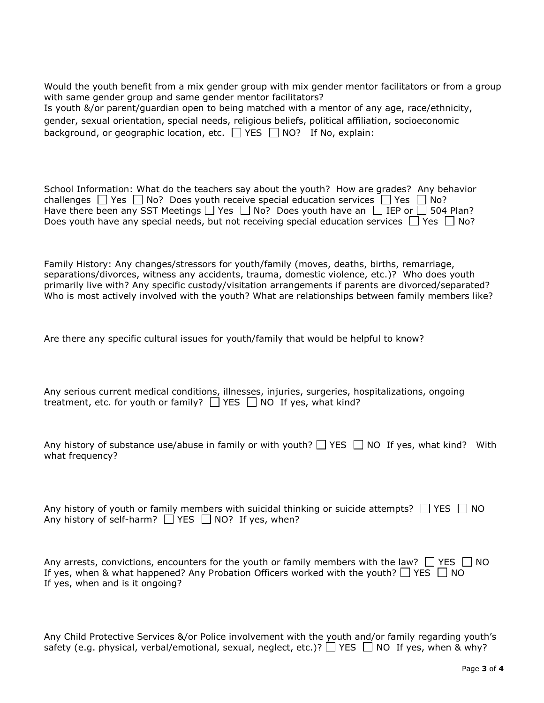Would the youth benefit from a mix gender group with mix gender mentor facilitators or from a group with same gender group and same gender mentor facilitators?

Is youth &/or parent/guardian open to being matched with a mentor of any age, race/ethnicity, gender, sexual orientation, special needs, religious beliefs, political affiliation, socioeconomic background, or geographic location, etc.  $\Box$  YES  $\Box$  NO? If No, explain:

| School Information: What do the teachers say about the youth? How are grades? Any behavior               |
|----------------------------------------------------------------------------------------------------------|
| challenges $\Box$ Yes $\Box$ No? Does youth receive special education services $\Box$ Yes $\Box$ No?     |
| Have there been any SST Meetings $\Box$ Yes $\Box$ No? Does youth have an $\Box$ IEP or $\Box$ 504 Plan? |
| Does youth have any special needs, but not receiving special education services $\Box$ Yes $\Box$ No?    |

Family History: Any changes/stressors for youth/family (moves, deaths, births, remarriage, separations/divorces, witness any accidents, trauma, domestic violence, etc.)? Who does youth primarily live with? Any specific custody/visitation arrangements if parents are divorced/separated? Who is most actively involved with the youth? What are relationships between family members like?

Are there any specific cultural issues for youth/family that would be helpful to know?

| Any serious current medical conditions, illnesses, injuries, surgeries, hospitalizations, ongoing |  |  |  |
|---------------------------------------------------------------------------------------------------|--|--|--|
| treatment, etc. for youth or family? $\Box$ YES $\Box$ NO If yes, what kind?                      |  |  |  |

| Any history of substance use/abuse in family or with youth? $\Box$ YES $\Box$ NO If yes, what kind? With |  |
|----------------------------------------------------------------------------------------------------------|--|
| what frequency?                                                                                          |  |

| Any history of youth or family members with suicidal thinking or suicide attempts? $\Box$ YES $\Box$ NO |  |
|---------------------------------------------------------------------------------------------------------|--|
| Any history of self-harm? $\Box$ YES $\Box$ NO? If yes, when?                                           |  |

| Any arrests, convictions, encounters for the youth or family members with the law? $\Box$ YES $\Box$ NO |
|---------------------------------------------------------------------------------------------------------|
| If yes, when & what happened? Any Probation Officers worked with the youth? $\Box$ YES $\Box$ NO        |
| If yes, when and is it ongoing?                                                                         |

| Any Child Protective Services &/or Police involvement with the youth and/or family regarding youth's      |  |
|-----------------------------------------------------------------------------------------------------------|--|
| safety (e.g. physical, verbal/emotional, sexual, neglect, etc.)? $\Box$ YES $\Box$ NO If yes, when & why? |  |